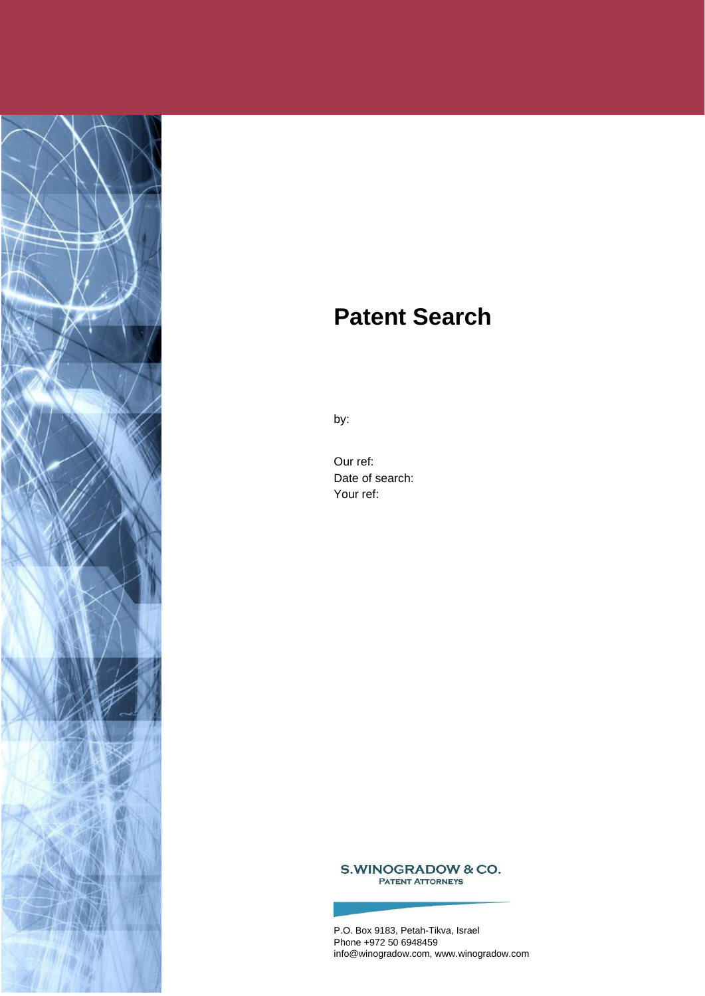

# **Patent Search**

by:

Our ref: Date of search: Your ref:

S.WINOGRADOW & CO. **PATENT ATTORNEYS** 

P.O. Box 9183, Petah-Tikva, Israel Phone +972 50 6948459 info@winogradow.com, www.winogradow.com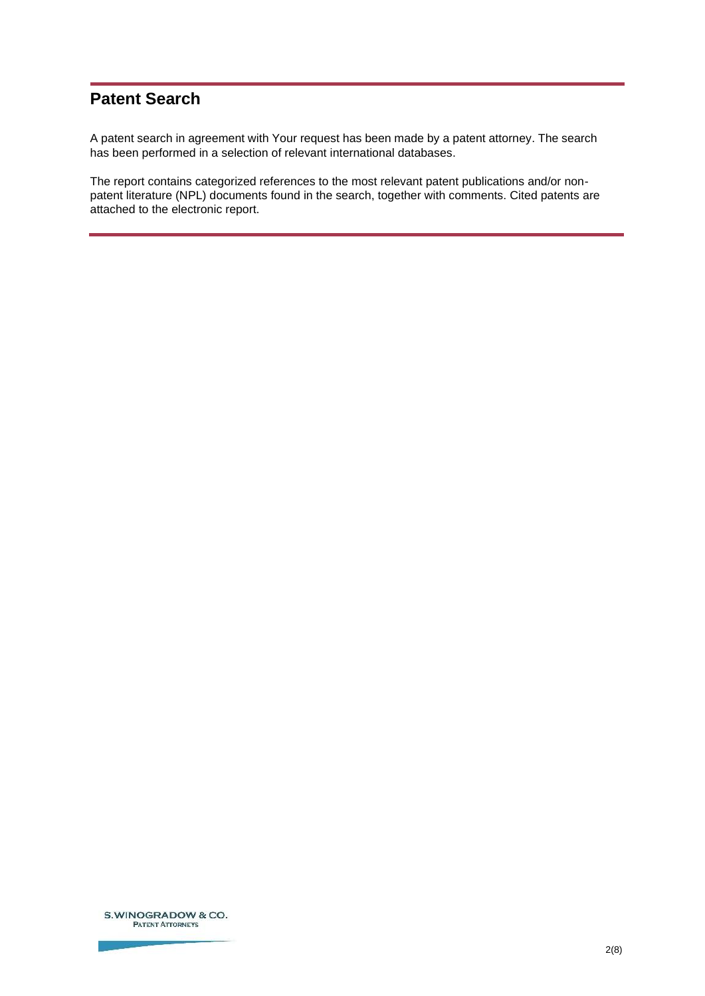# **Patent Search**

A patent search in agreement with Your request has been made by a patent attorney. The search has been performed in a selection of relevant international databases.

The report contains categorized references to the most relevant patent publications and/or nonpatent literature (NPL) documents found in the search, together with comments. Cited patents are attached to the electronic report.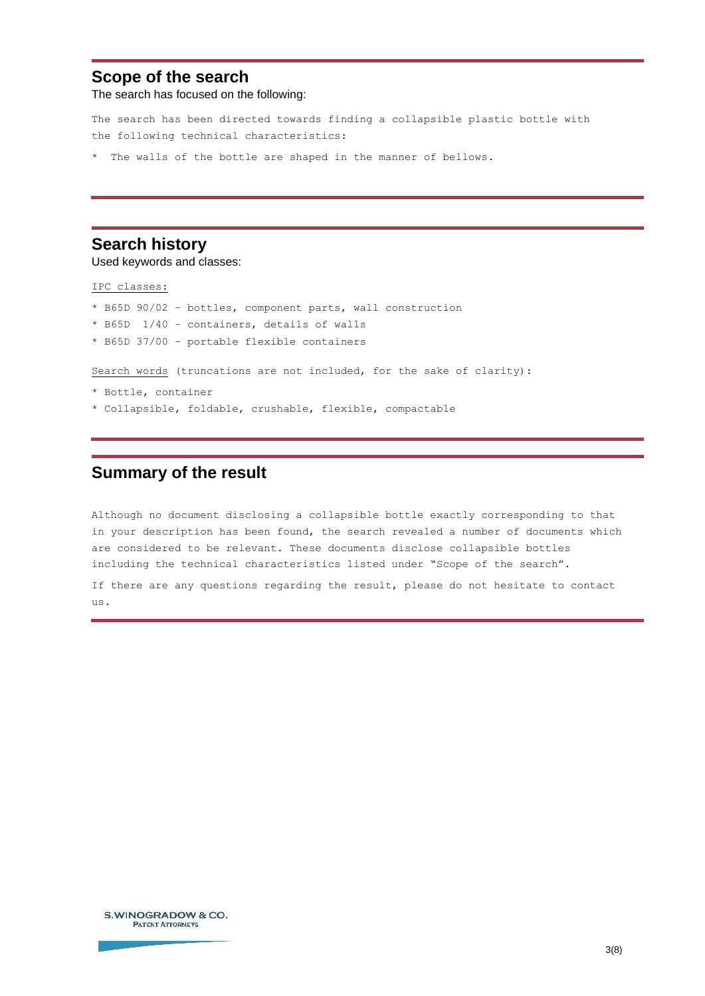# **Scope of the search**

The search has focused on the following:

The search has been directed towards finding a collapsible plastic bottle with the following technical characteristics:

\* The walls of the bottle are shaped in the manner of bellows.

# **Search history**

Used keywords and classes:

IPC classes:

- \* B65D 90/02 bottles, component parts, wall construction
- \* B65D 1/40 containers, details of walls
- \* B65D 37/00 portable flexible containers

Search words (truncations are not included, for the sake of clarity):

- \* Bottle, container
- \* Collapsible, foldable, crushable, flexible, compactable

# **Summary of the result**

Although no document disclosing a collapsible bottle exactly corresponding to that in your description has been found, the search revealed a number of documents which are considered to be relevant. These documents disclose collapsible bottles including the technical characteristics listed under "Scope of the search".

If there are any questions regarding the result, please do not hesitate to contact us.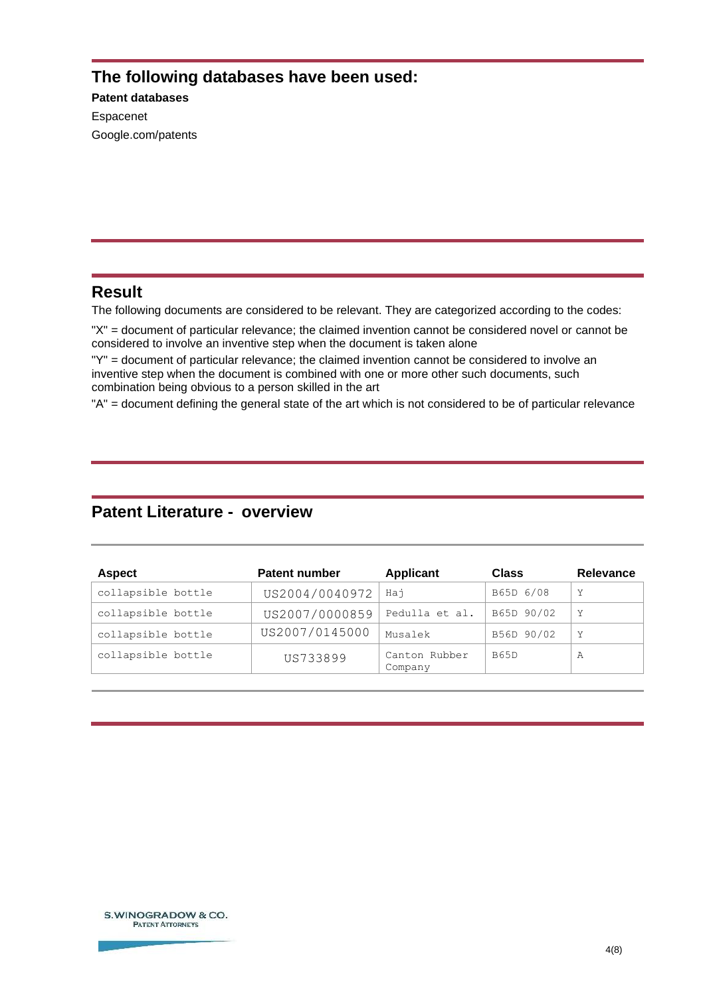# **The following databases have been used:**

**Patent databases** Espacenet Google.com/patents

# **Result**

The following documents are considered to be relevant. They are categorized according to the codes:

"X" = document of particular relevance; the claimed invention cannot be considered novel or cannot be considered to involve an inventive step when the document is taken alone

"Y" = document of particular relevance; the claimed invention cannot be considered to involve an inventive step when the document is combined with one or more other such documents, such combination being obvious to a person skilled in the art

"A" = document defining the general state of the art which is not considered to be of particular relevance

# **Patent Literature - overview**

<span id="page-3-3"></span><span id="page-3-2"></span><span id="page-3-1"></span><span id="page-3-0"></span>

| <b>Aspect</b>      | <b>Patent number</b> | <b>Applicant</b>         | <b>Class</b> | <b>Relevance</b> |
|--------------------|----------------------|--------------------------|--------------|------------------|
| collapsible bottle | US2004/0040972       | Hai                      | B65D 6/08    | Y                |
| collapsible bottle | US2007/0000859       | Pedulla et al.           | B65D 90/02   | Y                |
| collapsible bottle | US2007/0145000       | Musalek                  | B56D 90/02   | Y                |
| collapsible bottle | US733899             | Canton Rubber<br>Company | <b>B65D</b>  | Α                |

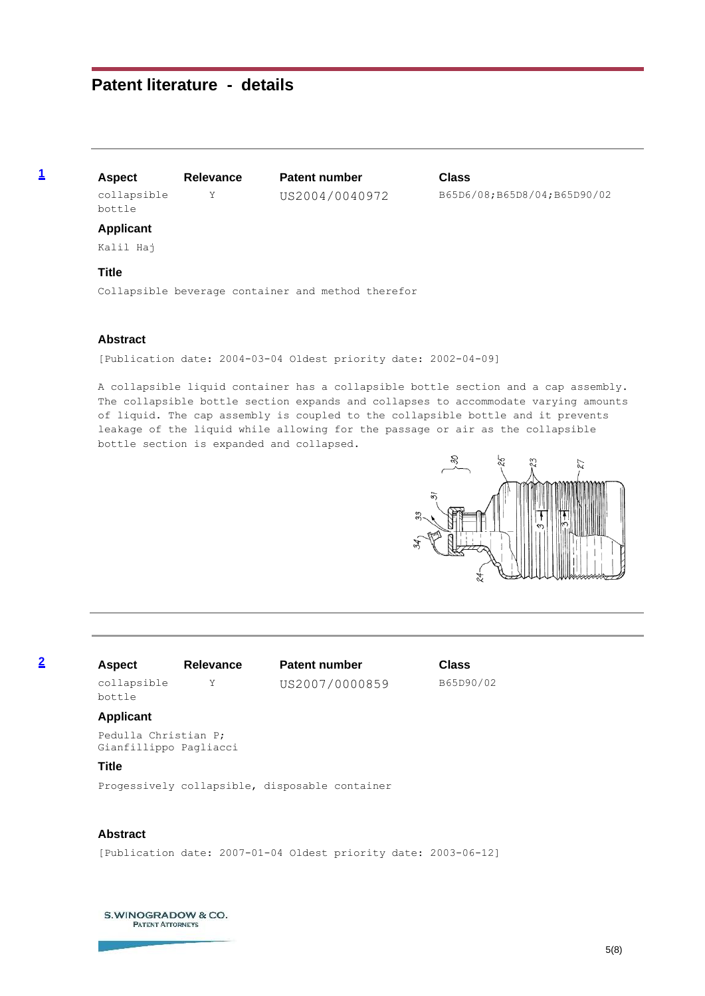# **Patent literature - details**

collapsible bottle

**[1](#page-3-0) Aspect Relevance Patent number Class**

Y US2004/0040972 B65D6/08;B65D8/04;B65D90/02

#### **Applicant**

Kalil Haj

#### **Title**

Collapsible beverage container and method therefor

#### **Abstract**

[Publication date: 2004-03-04 Oldest priority date: 2002-04-09]

A collapsible liquid container has a collapsible bottle section and a cap assembly. The collapsible bottle section expands and collapses to accommodate varying amounts of liquid. The cap assembly is coupled to the collapsible bottle and it prevents leakage of the liquid while allowing for the passage or air as the collapsible bottle section is expanded and collapsed.



# collapsible

**[2](#page-3-1) Aspect Relevance Patent number Class** Y US2007/0000859 B65D90/02

#### **Applicant**

bottle

Pedulla Christian P; Gianfillippo Pagliacci

#### **Title**

Progessively collapsible, disposable container

## **Abstract**

[Publication date: 2007-01-04 Oldest priority date: 2003-06-12]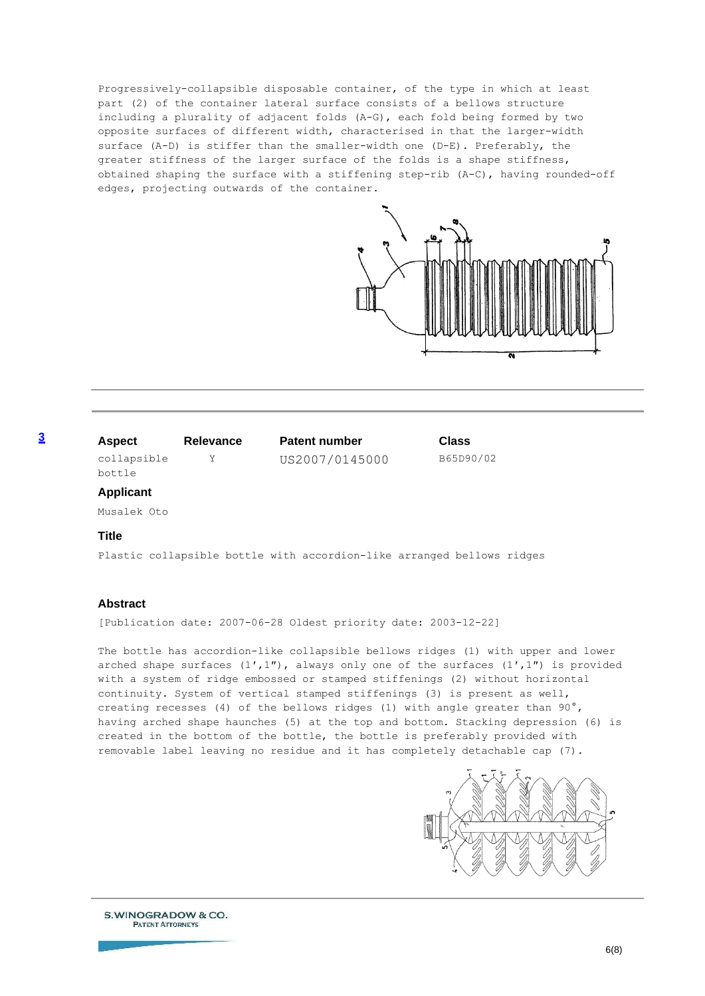Progressively-collapsible disposable container, of the type in which at least part (2) of the container lateral surface consists of a bellows structure including a plurality of adjacent folds (A-G), each fold being formed by two opposite surfaces of different width, characterised in that the larger-width surface (A-D) is stiffer than the smaller-width one (D-E). Preferably, the greater stiffness of the larger surface of the folds is a shape stiffness, obtained shaping the surface with a stiffening step-rib (A-C), having rounded-off edges, projecting outwards of the container.



### **[3](#page-3-2) Aspect Relevance Patent number Class**

collapsible bottle

Y US2007/0145000 B65D90/02

#### **Applicant**

Musalek Oto

#### **Title**

Plastic collapsible bottle with accordion-like arranged bellows ridges

#### **Abstract**

[Publication date: 2007-06-28 Oldest priority date: 2003-12-22]

The bottle has accordion-like collapsible bellows ridges (1) with upper and lower arched shape surfaces  $(1',1'')$ , always only one of the surfaces  $(1',1'')$  is provided with a system of ridge embossed or stamped stiffenings (2) without horizontal continuity. System of vertical stamped stiffenings (3) is present as well, creating recesses (4) of the bellows ridges (1) with angle greater than 90°, having arched shape haunches (5) at the top and bottom. Stacking depression (6) is created in the bottom of the bottle, the bottle is preferably provided with removable label leaving no residue and it has completely detachable cap (7).

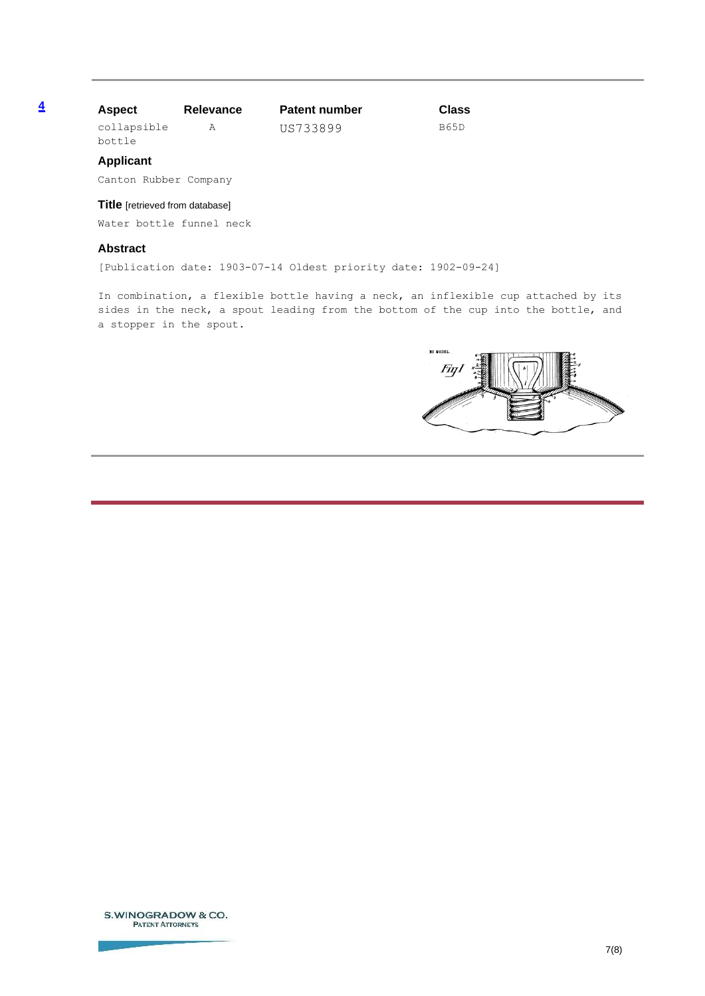## **[4](#page-3-3) Aspect Relevance Patent number Class**

collapsible bottle

A US733899 B65D

#### **Applicant**

Canton Rubber Company

#### **Title** [retrieved from database]

Water bottle funnel neck

### **Abstract**

[Publication date: 1903-07-14 Oldest priority date: 1902-09-24]

In combination, a flexible bottle having a neck, an inflexible cup attached by its sides in the neck, a spout leading from the bottom of the cup into the bottle, and a stopper in the spout.